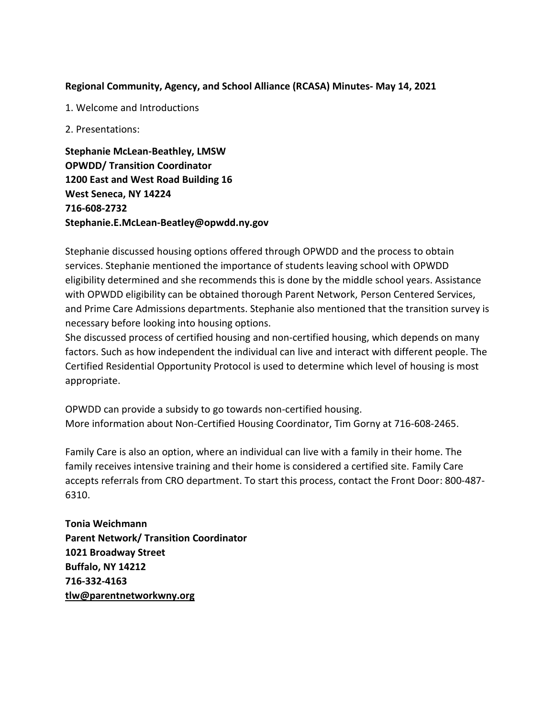## **Regional Community, Agency, and School Alliance (RCASA) Minutes- May 14, 2021**

1. Welcome and Introductions

2. Presentations:

**Stephanie McLean-Beathley, LMSW OPWDD/ Transition Coordinator 1200 East and West Road Building 16 West Seneca, NY 14224 716-608-2732 Stephanie.E.McLean-Beatley@opwdd.ny.gov**

Stephanie discussed housing options offered through OPWDD and the process to obtain services. Stephanie mentioned the importance of students leaving school with OPWDD eligibility determined and she recommends this is done by the middle school years. Assistance with OPWDD eligibility can be obtained thorough Parent Network, Person Centered Services, and Prime Care Admissions departments. Stephanie also mentioned that the transition survey is necessary before looking into housing options.

She discussed process of certified housing and non-certified housing, which depends on many factors. Such as how independent the individual can live and interact with different people. The Certified Residential Opportunity Protocol is used to determine which level of housing is most appropriate.

OPWDD can provide a subsidy to go towards non-certified housing. More information about Non-Certified Housing Coordinator, Tim Gorny at 716-608-2465.

Family Care is also an option, where an individual can live with a family in their home. The family receives intensive training and their home is considered a certified site. Family Care accepts referrals from CRO department. To start this process, contact the Front Door: 800-487- 6310.

**Tonia Weichmann Parent Network/ Transition Coordinator 1021 Broadway Street Buffalo, NY 14212 716-332-4163 [tlw@parentnetworkwny.org](mailto:tlw@parentnetworkwny.org)**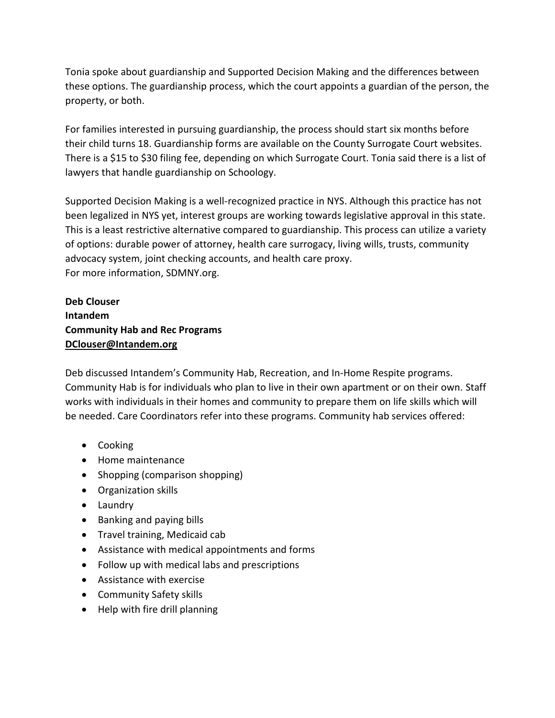Tonia spoke about guardianship and Supported Decision Making and the differences between these options. The guardianship process, which the court appoints a guardian of the person, the property, or both.

For families interested in pursuing guardianship, the process should start six months before their child turns 18. Guardianship forms are available on the County Surrogate Court websites. There is a \$15 to \$30 filing fee, depending on which Surrogate Court. Tonia said there is a list of lawyers that handle guardianship on Schoology.

Supported Decision Making is a well-recognized practice in NYS. Although this practice has not been legalized in NYS yet, interest groups are working towards legislative approval in this state. This is a least restrictive alternative compared to guardianship. This process can utilize a variety of options: durable power of attorney, health care surrogacy, living wills, trusts, community advocacy system, joint checking accounts, and health care proxy. For more information, SDMNY.org.

**Deb Clouser Intandem Community Hab and Rec Programs [DClouser@Intandem.org](mailto:DClouser@Intandem.org)**

Deb discussed Intandem's Community Hab, Recreation, and In-Home Respite programs. Community Hab is for individuals who plan to live in their own apartment or on their own. Staff works with individuals in their homes and community to prepare them on life skills which will be needed. Care Coordinators refer into these programs. Community hab services offered:

- Cooking
- Home maintenance
- Shopping (comparison shopping)
- Organization skills
- Laundry
- Banking and paying bills
- Travel training, Medicaid cab
- Assistance with medical appointments and forms
- Follow up with medical labs and prescriptions
- Assistance with exercise
- Community Safety skills
- $\bullet$  Help with fire drill planning